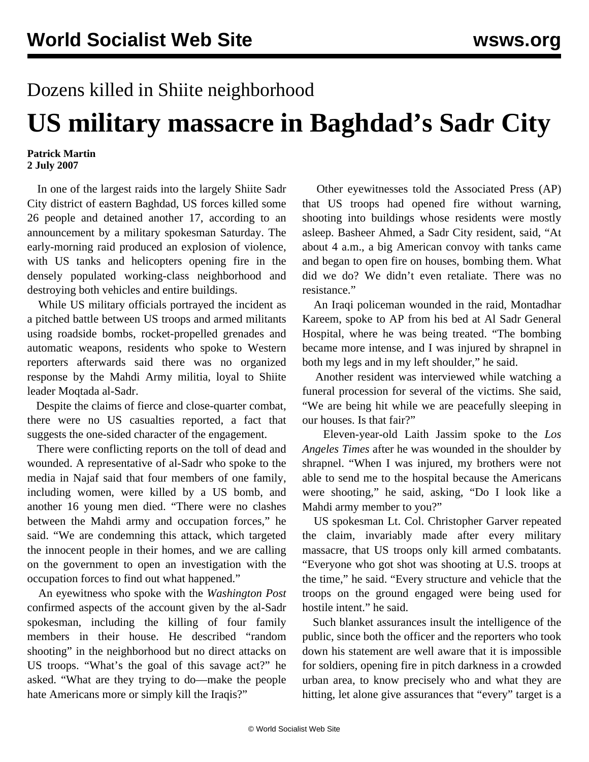## Dozens killed in Shiite neighborhood

## **US military massacre in Baghdad's Sadr City**

## **Patrick Martin 2 July 2007**

 In one of the largest raids into the largely Shiite Sadr City district of eastern Baghdad, US forces killed some 26 people and detained another 17, according to an announcement by a military spokesman Saturday. The early-morning raid produced an explosion of violence, with US tanks and helicopters opening fire in the densely populated working-class neighborhood and destroying both vehicles and entire buildings.

 While US military officials portrayed the incident as a pitched battle between US troops and armed militants using roadside bombs, rocket-propelled grenades and automatic weapons, residents who spoke to Western reporters afterwards said there was no organized response by the Mahdi Army militia, loyal to Shiite leader Moqtada al-Sadr.

 Despite the claims of fierce and close-quarter combat, there were no US casualties reported, a fact that suggests the one-sided character of the engagement.

 There were conflicting reports on the toll of dead and wounded. A representative of al-Sadr who spoke to the media in Najaf said that four members of one family, including women, were killed by a US bomb, and another 16 young men died. "There were no clashes between the Mahdi army and occupation forces," he said. "We are condemning this attack, which targeted the innocent people in their homes, and we are calling on the government to open an investigation with the occupation forces to find out what happened."

 An eyewitness who spoke with the *Washington Post* confirmed aspects of the account given by the al-Sadr spokesman, including the killing of four family members in their house. He described "random shooting" in the neighborhood but no direct attacks on US troops. "What's the goal of this savage act?" he asked. "What are they trying to do—make the people hate Americans more or simply kill the Iraqis?"

 Other eyewitnesses told the Associated Press (AP) that US troops had opened fire without warning, shooting into buildings whose residents were mostly asleep. Basheer Ahmed, a Sadr City resident, said, "At about 4 a.m., a big American convoy with tanks came and began to open fire on houses, bombing them. What did we do? We didn't even retaliate. There was no resistance."

 An Iraqi policeman wounded in the raid, Montadhar Kareem, spoke to AP from his bed at Al Sadr General Hospital, where he was being treated. "The bombing became more intense, and I was injured by shrapnel in both my legs and in my left shoulder," he said.

 Another resident was interviewed while watching a funeral procession for several of the victims. She said, "We are being hit while we are peacefully sleeping in our houses. Is that fair?"

 Eleven-year-old Laith Jassim spoke to the *Los Angeles Times* after he was wounded in the shoulder by shrapnel. "When I was injured, my brothers were not able to send me to the hospital because the Americans were shooting," he said, asking, "Do I look like a Mahdi army member to you?"

 US spokesman Lt. Col. Christopher Garver repeated the claim, invariably made after every military massacre, that US troops only kill armed combatants. "Everyone who got shot was shooting at U.S. troops at the time," he said. "Every structure and vehicle that the troops on the ground engaged were being used for hostile intent." he said.

 Such blanket assurances insult the intelligence of the public, since both the officer and the reporters who took down his statement are well aware that it is impossible for soldiers, opening fire in pitch darkness in a crowded urban area, to know precisely who and what they are hitting, let alone give assurances that "every" target is a